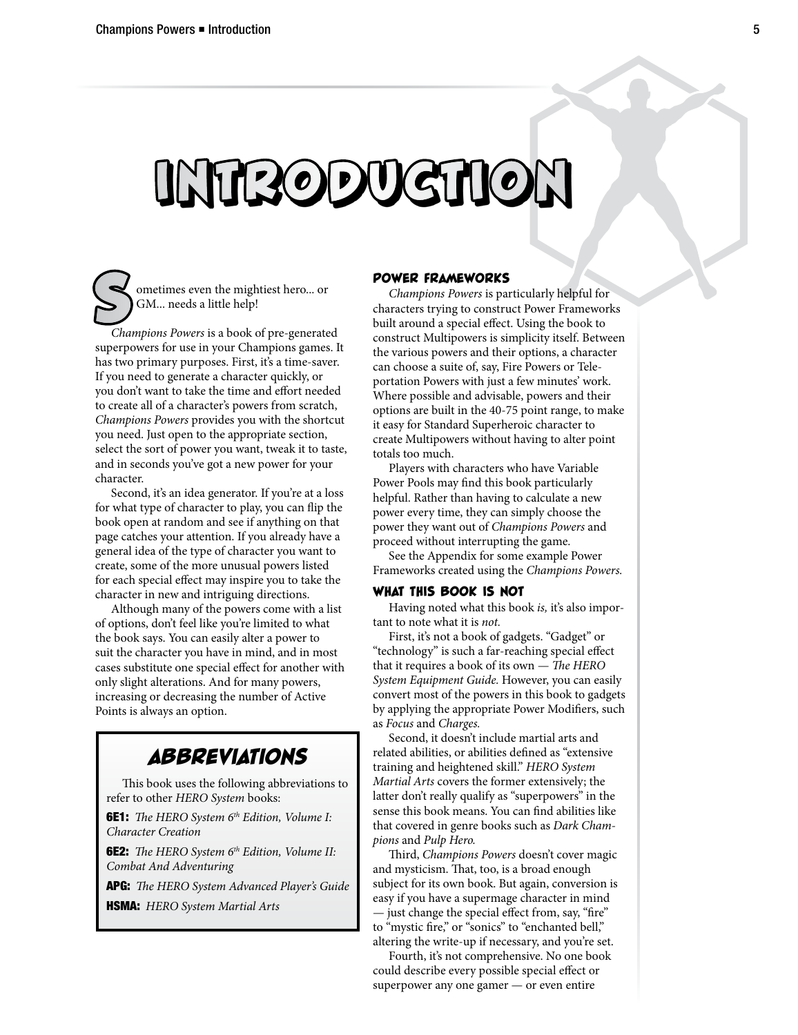# INTRODUCTION

**S** ometimes even the mightiest hero... or GM... needs a little help!<br>*Champions Powers* is a book of pre-generated GM... needs a little help!

superpowers for use in your Champions games. It has two primary purposes. First, it's a time-saver. If you need to generate a character quickly, or you don't want to take the time and effort needed to create all of a character's powers from scratch, *Champions Powers* provides you with the shortcut you need. Just open to the appropriate section, select the sort of power you want, tweak it to taste, and in seconds you've got a new power for your character.

Second, it's an idea generator. If you're at a loss for what type of character to play, you can flip the book open at random and see if anything on that page catches your attention. If you already have a general idea of the type of character you want to create, some of the more unusual powers listed for each special effect may inspire you to take the character in new and intriguing directions.

Although many of the powers come with a list of options, don't feel like you're limited to what the book says. You can easily alter a power to suit the character you have in mind, and in most cases substitute one special effect for another with only slight alterations. And for many powers, increasing or decreasing the number of Active Points is always an option.

## *ABBREVIATIONS*

This book uses the following abbreviations to refer to other *HERO System* books:

**6E1:** *The HERO System 6<sup>th</sup> Edition, Volume I: Character Creation*

6E2: *The HERO System 6th Edition, Volume II: Combat And Adventuring*

APG: *The HERO System Advanced Player's Guide*

HSMA: *HERO System Martial Arts*

### POWER FRAMEWORKS

*Champions Powers* is particularly helpful for characters trying to construct Power Frameworks built around a special effect. Using the book to construct Multipowers is simplicity itself. Between the various powers and their options, a character can choose a suite of, say, Fire Powers or Teleportation Powers with just a few minutes' work. Where possible and advisable, powers and their options are built in the 40-75 point range, to make it easy for Standard Superheroic character to create Multipowers without having to alter point totals too much.

Players with characters who have Variable Power Pools may find this book particularly helpful. Rather than having to calculate a new power every time, they can simply choose the power they want out of *Champions Powers* and proceed without interrupting the game.

See the Appendix for some example Power Frameworks created using the *Champions Powers.*

### WHAT THIS BOOK IS NOT

Having noted what this book *is,* it's also important to note what it is *not.*

First, it's not a book of gadgets. "Gadget" or "technology" is such a far-reaching special effect that it requires a book of its own — *The HERO System Equipment Guide.* However, you can easily convert most of the powers in this book to gadgets by applying the appropriate Power Modifiers, such as *Focus* and *Charges.*

Second, it doesn't include martial arts and related abilities, or abilities defined as "extensive training and heightened skill." *HERO System Martial Arts* covers the former extensively; the latter don't really qualify as "superpowers" in the sense this book means. You can find abilities like that covered in genre books such as *Dark Champions* and *Pulp Hero.*

Third, *Champions Powers* doesn't cover magic and mysticism. That, too, is a broad enough subject for its own book. But again, conversion is easy if you have a supermage character in mind — just change the special effect from, say, "fire" to "mystic fire," or "sonics" to "enchanted bell," altering the write-up if necessary, and you're set.

Fourth, it's not comprehensive. No one book could describe every possible special effect or superpower any one gamer — or even entire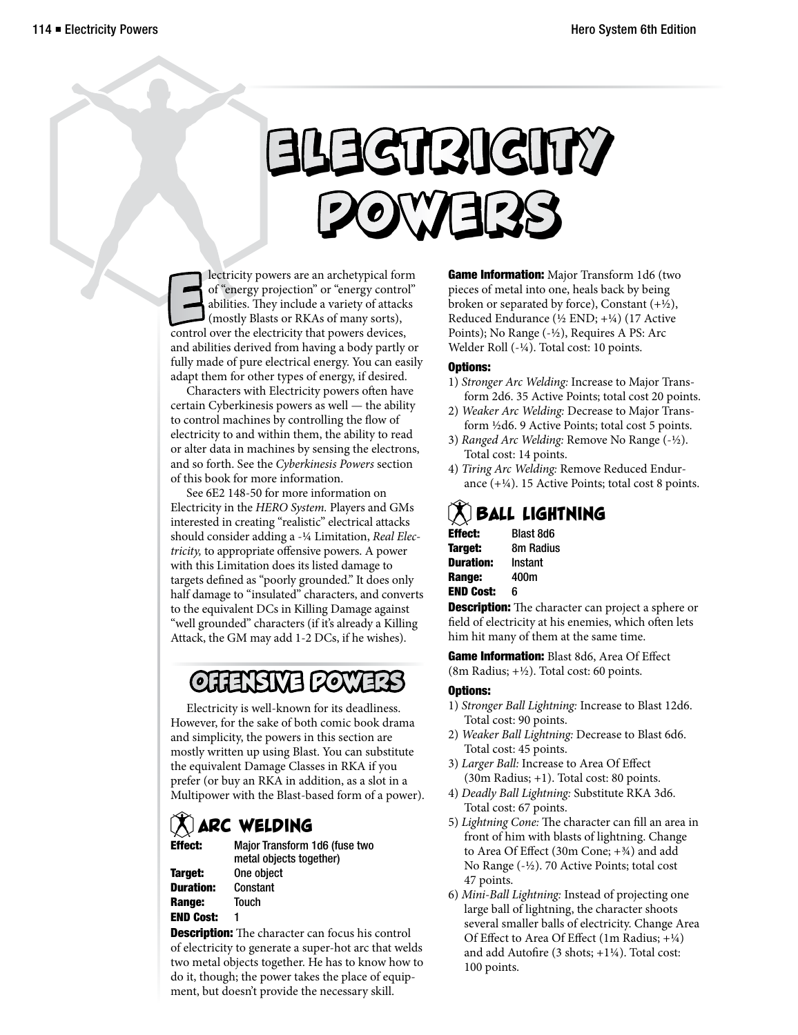# Elettricity Powewewewerss

lectricity powers are an archetypical form of "energy projection" or "energy control abilities. They include a variety of attack (mostly Blasts or RKAs of many sorts), control over the electricity that powers devices, lectricity powers are an archetypical form of "energy projection" or "energy control" abilities. They include a variety of attacks (mostly Blasts or RKAs of many sorts), and abilities derived from having a body partly or fully made of pure electrical energy. You can easily adapt them for other types of energy, if desired.

Characters with Electricity powers often have certain Cyberkinesis powers as well — the ability to control machines by controlling the flow of electricity to and within them, the ability to read or alter data in machines by sensing the electrons, and so forth. See the *Cyberkinesis Powers* section of this book for more information.

See 6E2 148-50 for more information on Electricity in the *HERO System.* Players and GMs interested in creating "realistic" electrical attacks should consider adding a -¼ Limitation, *Real Electricity,* to appropriate offensive powers. A power with this Limitation does its listed damage to targets defined as "poorly grounded." It does only half damage to "insulated" characters, and converts to the equivalent DCs in Killing Damage against "well grounded" characters (if it's already a Killing Attack, the GM may add 1-2 DCs, if he wishes).

## O**LIENSIVE POWERS**

Electricity is well-known for its deadliness. However, for the sake of both comic book drama and simplicity, the powers in this section are mostly written up using Blast. You can substitute the equivalent Damage Classes in RKA if you prefer (or buy an RKA in addition, as a slot in a Multipower with the Blast-based form of a power).

## **ARC WELDING**<br>Effect: Maior Transform

Major Transform 1d6 (fuse two metal objects together) Target: One object

Duration: Constant Range: Touch END Cost: 1

**Description:** The character can focus his control of electricity to generate a super-hot arc that welds two metal objects together. He has to know how to do it, though; the power takes the place of equipment, but doesn't provide the necessary skill.

**Game Information:** Major Transform 1d6 (two pieces of metal into one, heals back by being broken or separated by force), Constant  $(+\frac{1}{2})$ , Reduced Endurance (½ END; +¼) (17 Active Points); No Range (-½), Requires A PS: Arc Welder Roll (-¼). Total cost: 10 points.

### Options:

- 1) *Stronger Arc Welding:* Increase to Major Transform 2d6. 35 Active Points; total cost 20 points.
- 2) *Weaker Arc Welding:* Decrease to Major Transform ½d6. 9 Active Points; total cost 5 points.
- 3) *Ranged Arc Welding:* Remove No Range (-½). Total cost: 14 points.
- 4) *Tiring Arc Welding:* Remove Reduced Endurance (+¼). 15 Active Points; total cost 8 points.

## $(X)$  Ball lightning

| <b>Effect:</b>   | Blast 8d6        |
|------------------|------------------|
| Target:          | <b>8m Radius</b> |
| <b>Duration:</b> | Instant          |
| Range:           | 400m             |
| <b>END Cost:</b> | 6                |

**Description:** The character can project a sphere or field of electricity at his enemies, which often lets him hit many of them at the same time.

Game Information: Blast 8d6, Area Of Effect (8m Radius;  $+\frac{1}{2}$ ). Total cost: 60 points.

- 1) *Stronger Ball Lightning:* Increase to Blast 12d6. Total cost: 90 points.
- 2) *Weaker Ball Lightning:* Decrease to Blast 6d6. Total cost: 45 points.
- 3) *Larger Ball:* Increase to Area Of Effect (30m Radius; +1). Total cost: 80 points.
- 4) *Deadly Ball Lightning:* Substitute RKA 3d6. Total cost: 67 points.
- 5) *Lightning Cone:* The character can fill an area in front of him with blasts of lightning. Change to Area Of Effect (30m Cone; +¾) and add No Range (-½). 70 Active Points; total cost 47 points.
- 6) *Mini-Ball Lightning:* Instead of projecting one large ball of lightning, the character shoots several smaller balls of electricity. Change Area Of Effect to Area Of Effect (1m Radius; +¼) and add Autofire (3 shots; +1¼). Total cost: 100 points.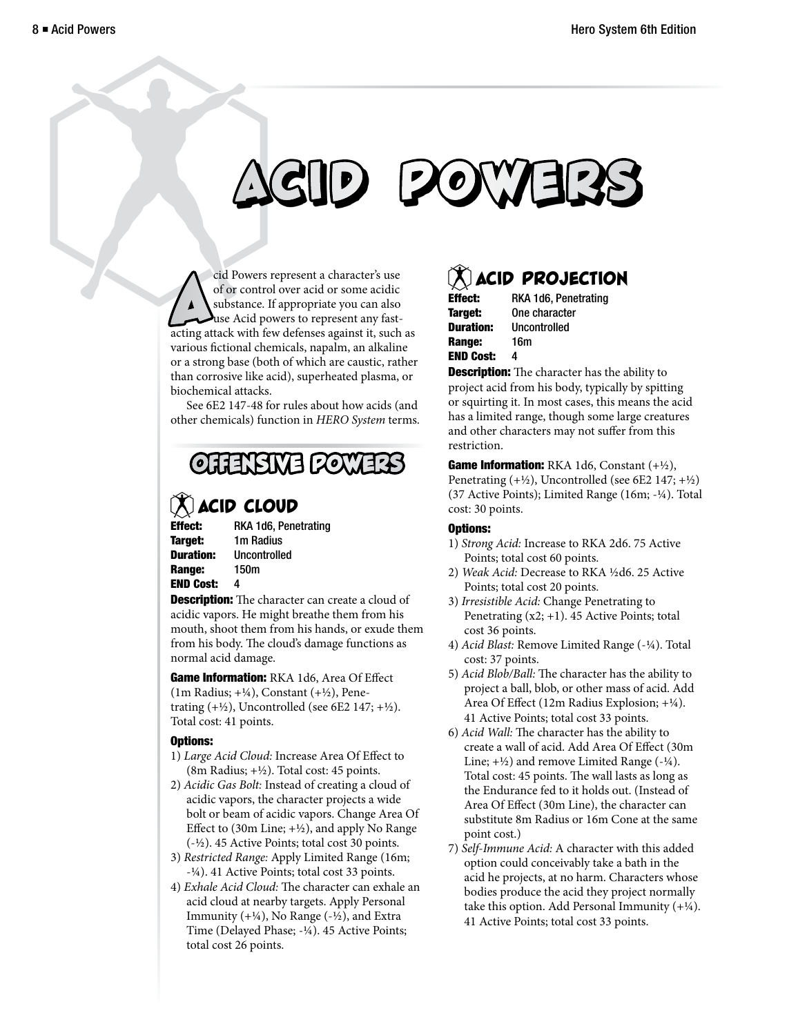# **P** POW

cid Powers represent a character's use<br>of or control over acid or some acidic<br>substance. If appropriate you can also<br>acting attack with few defenses against it, such as cid Powers represent a character's use of or control over acid or some acidic substance. If appropriate you can also use Acid powers to represent any fastvarious fictional chemicals, napalm, an alkaline or a strong base (both of which are caustic, rather than corrosive like acid), superheated plasma, or biochemical attacks.

See 6E2 147-48 for rules about how acids (and other chemicals) function in *HERO System* terms.

## OFFENSIVE POWERS

## **MACID CLOUD**<br>Effect: RKA 1d6. Pene

Range: 150m END Cost: 4

RKA 1d6, Penetrating Target: 1m Radius Duration: Uncontrolled

**Description:** The character can create a cloud of acidic vapors. He might breathe them from his mouth, shoot them from his hands, or exude them from his body. The cloud's damage functions as normal acid damage.

Game Information: RKA 1d6, Area Of Effect (1m Radius;  $+\frac{1}{4}$ ), Constant ( $+\frac{1}{2}$ ), Penetrating  $(+\frac{1}{2})$ , Uncontrolled (see 6E2 147;  $+\frac{1}{2}$ ). Total cost: 41 points.

### Options:

- 1) *Large Acid Cloud:* Increase Area Of Effect to (8m Radius; +½). Total cost: 45 points.
- 2) *Acidic Gas Bolt:* Instead of creating a cloud of acidic vapors, the character projects a wide bolt or beam of acidic vapors. Change Area Of Effect to (30m Line;  $+\frac{1}{2}$ ), and apply No Range (-½). 45 Active Points; total cost 30 points.
- 3) *Restricted Range:* Apply Limited Range (16m; -¼). 41 Active Points; total cost 33 points.
- 4) *Exhale Acid Cloud:* The character can exhale an acid cloud at nearby targets. Apply Personal Immunity  $(+\frac{1}{4})$ , No Range  $(-\frac{1}{2})$ , and Extra Time (Delayed Phase; -¼). 45 Active Points; total cost 26 points.

## **ACID PROJECTION**<br>**E** BKA 1d6 Penetrating

| Effect:   | RKA 1d6, Penetrating |
|-----------|----------------------|
| Target:   | One character        |
| Duration: | <b>Uncontrolled</b>  |
| Range:    | 16m                  |
| END Cost: | 4                    |

**Description:** The character has the ability to project acid from his body, typically by spitting or squirting it. In most cases, this means the acid has a limited range, though some large creatures and other characters may not suffer from this restriction.

Game Information: RKA 1d6, Constant (+1/2), Penetrating  $(+\frac{1}{2})$ , Uncontrolled (see 6E2 147;  $+\frac{1}{2}$ ) (37 Active Points); Limited Range (16m; -¼). Total cost: 30 points.

- 1) *Strong Acid:* Increase to RKA 2d6. 75 Active Points; total cost 60 points.
- 2) *Weak Acid:* Decrease to RKA ½d6. 25 Active Points; total cost 20 points.
- 3) *Irresistible Acid:* Change Penetrating to Penetrating (x2; +1). 45 Active Points; total cost 36 points.
- 4) *Acid Blast:* Remove Limited Range (-¼). Total cost: 37 points.
- 5) *Acid Blob/Ball:* The character has the ability to project a ball, blob, or other mass of acid. Add Area Of Effect (12m Radius Explosion; +¼). 41 Active Points; total cost 33 points.
- 6) *Acid Wall:* The character has the ability to create a wall of acid. Add Area Of Effect (30m Line;  $+\frac{1}{2}$  and remove Limited Range ( $-\frac{1}{4}$ ). Total cost: 45 points. The wall lasts as long as the Endurance fed to it holds out. (Instead of Area Of Effect (30m Line), the character can substitute 8m Radius or 16m Cone at the same point cost.)
- 7) *Self-Immune Acid:* A character with this added option could conceivably take a bath in the acid he projects, at no harm. Characters whose bodies produce the acid they project normally take this option. Add Personal Immunity  $(+\frac{1}{4})$ . 41 Active Points; total cost 33 points.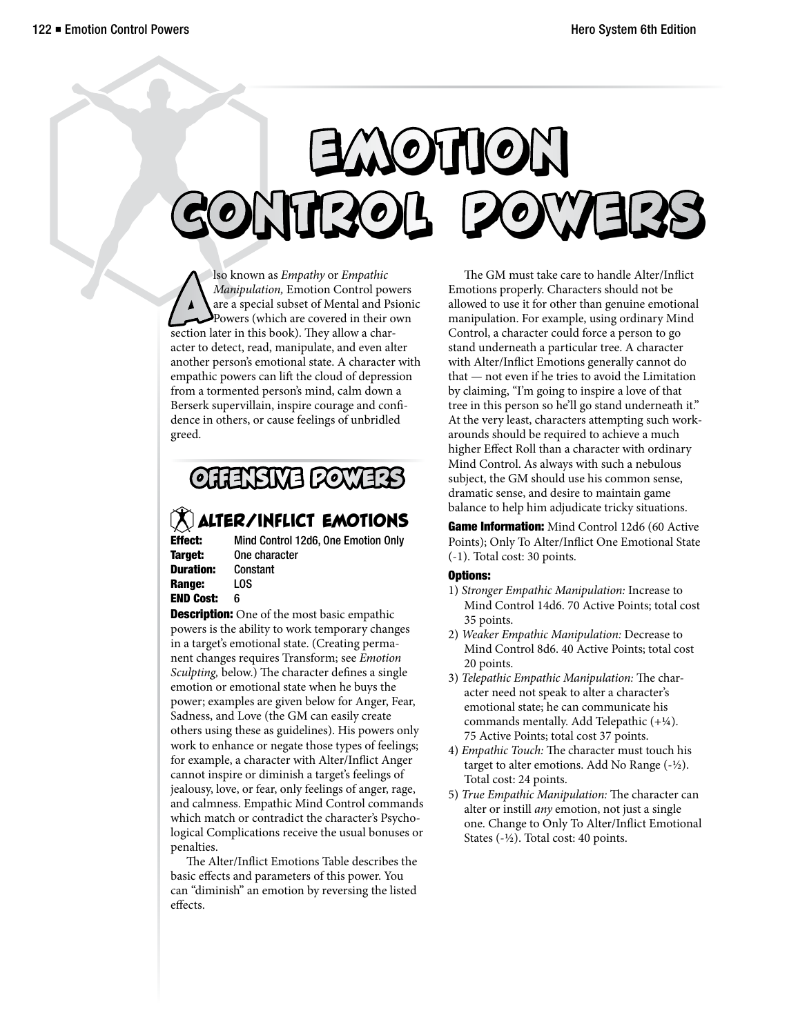# Emotion Conttroll Powewewewerss

Superior as Empathy or Empathic<br>Manipulation, Emotion Control pow<br>are a special subset of Mental and Ps<br>Powers (which are covered in their of<br>section later in this book). They allow a charlso known as *Empathy* or *Empathic Manipulation,* Emotion Control powers are a special subset of Mental and Psionic Powers (which are covered in their own acter to detect, read, manipulate, and even alter another person's emotional state. A character with empathic powers can lift the cloud of depression from a tormented person's mind, calm down a Berserk supervillain, inspire courage and confidence in others, or cause feelings of unbridled greed.

## OFFENSIVE POWERS

## **MALTER/INFLICT EMOTIONS**<br>Effect: Mind Control 12d6, One Emotion Only

**Target:** One character Duration: Constant Range: LOS END Cost: 6

Mind Control 12d6, One Emotion Only

**Description:** One of the most basic empathic powers is the ability to work temporary changes in a target's emotional state. (Creating permanent changes requires Transform; see *Emotion Sculpting,* below.) The character defines a single emotion or emotional state when he buys the power; examples are given below for Anger, Fear, Sadness, and Love (the GM can easily create others using these as guidelines). His powers only work to enhance or negate those types of feelings; for example, a character with Alter/Inflict Anger cannot inspire or diminish a target's feelings of jealousy, love, or fear, only feelings of anger, rage, and calmness. Empathic Mind Control commands which match or contradict the character's Psychological Complications receive the usual bonuses or penalties.

The Alter/Inflict Emotions Table describes the basic effects and parameters of this power. You can "diminish" an emotion by reversing the listed effects.

The GM must take care to handle Alter/Inflict Emotions properly. Characters should not be allowed to use it for other than genuine emotional manipulation. For example, using ordinary Mind Control, a character could force a person to go stand underneath a particular tree. A character with Alter/Inflict Emotions generally cannot do that — not even if he tries to avoid the Limitation by claiming, "I'm going to inspire a love of that tree in this person so he'll go stand underneath it." At the very least, characters attempting such workarounds should be required to achieve a much higher Effect Roll than a character with ordinary Mind Control. As always with such a nebulous subject, the GM should use his common sense, dramatic sense, and desire to maintain game balance to help him adjudicate tricky situations.

Game Information: Mind Control 12d6 (60 Active Points); Only To Alter/Inflict One Emotional State (-1). Total cost: 30 points.

- 1) *Stronger Empathic Manipulation:* Increase to Mind Control 14d6. 70 Active Points; total cost 35 points.
- 2) *Weaker Empathic Manipulation:* Decrease to Mind Control 8d6. 40 Active Points; total cost 20 points.
- 3) *Telepathic Empathic Manipulation:* The character need not speak to alter a character's emotional state; he can communicate his commands mentally. Add Telepathic (+¼). 75 Active Points; total cost 37 points.
- 4) *Empathic Touch:* The character must touch his target to alter emotions. Add No Range  $(-\frac{1}{2})$ . Total cost: 24 points.
- 5) *True Empathic Manipulation:* The character can alter or instill *any* emotion, not just a single one. Change to Only To Alter/Inflict Emotional States (-½). Total cost: 40 points.